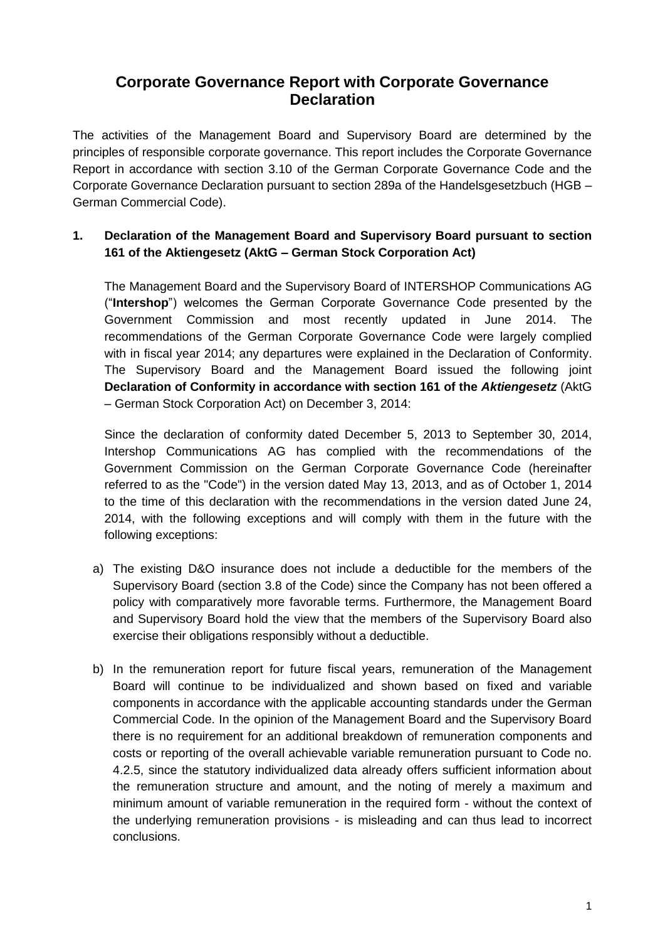# **Corporate Governance Report with Corporate Governance Declaration**

The activities of the Management Board and Supervisory Board are determined by the principles of responsible corporate governance. This report includes the Corporate Governance Report in accordance with section 3.10 of the German Corporate Governance Code and the Corporate Governance Declaration pursuant to section 289a of the Handelsgesetzbuch (HGB – German Commercial Code).

# **1. Declaration of the Management Board and Supervisory Board pursuant to section 161 of the Aktiengesetz (AktG – German Stock Corporation Act)**

The Management Board and the Supervisory Board of INTERSHOP Communications AG ("**Intershop**") welcomes the German Corporate Governance Code presented by the Government Commission and most recently updated in June 2014. The recommendations of the German Corporate Governance Code were largely complied with in fiscal year 2014; any departures were explained in the Declaration of Conformity. The Supervisory Board and the Management Board issued the following joint **Declaration of Conformity in accordance with section 161 of the** *Aktiengesetz* (AktG – German Stock Corporation Act) on December 3, 2014:

Since the declaration of conformity dated December 5, 2013 to September 30, 2014, Intershop Communications AG has complied with the recommendations of the Government Commission on the German Corporate Governance Code (hereinafter referred to as the "Code") in the version dated May 13, 2013, and as of October 1, 2014 to the time of this declaration with the recommendations in the version dated June 24, 2014, with the following exceptions and will comply with them in the future with the following exceptions:

- a) The existing D&O insurance does not include a deductible for the members of the Supervisory Board (section 3.8 of the Code) since the Company has not been offered a policy with comparatively more favorable terms. Furthermore, the Management Board and Supervisory Board hold the view that the members of the Supervisory Board also exercise their obligations responsibly without a deductible.
- b) In the remuneration report for future fiscal years, remuneration of the Management Board will continue to be individualized and shown based on fixed and variable components in accordance with the applicable accounting standards under the German Commercial Code. In the opinion of the Management Board and the Supervisory Board there is no requirement for an additional breakdown of remuneration components and costs or reporting of the overall achievable variable remuneration pursuant to Code no. 4.2.5, since the statutory individualized data already offers sufficient information about the remuneration structure and amount, and the noting of merely a maximum and minimum amount of variable remuneration in the required form - without the context of the underlying remuneration provisions - is misleading and can thus lead to incorrect conclusions.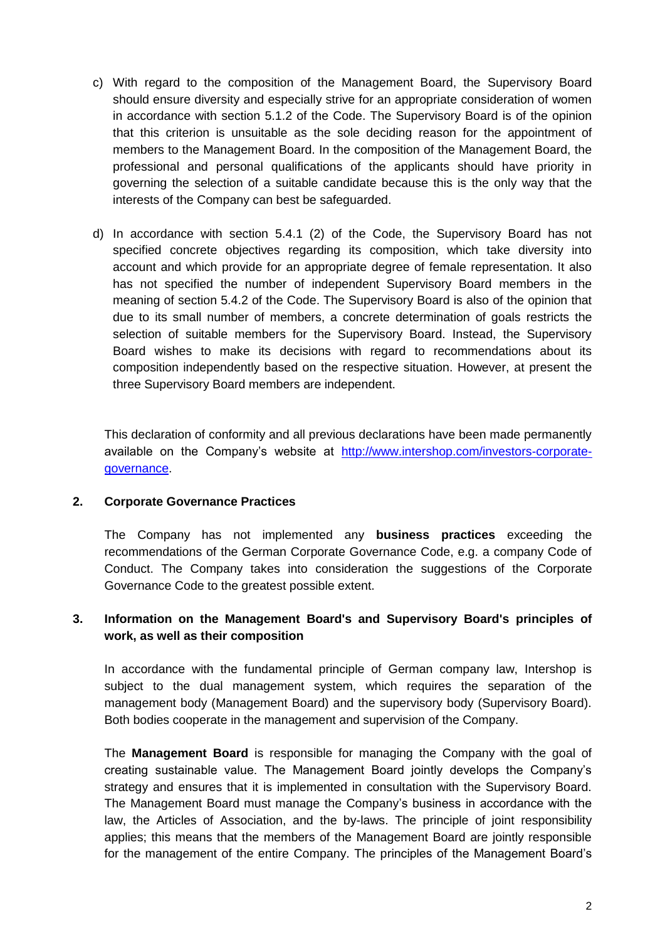- c) With regard to the composition of the Management Board, the Supervisory Board should ensure diversity and especially strive for an appropriate consideration of women in accordance with section 5.1.2 of the Code. The Supervisory Board is of the opinion that this criterion is unsuitable as the sole deciding reason for the appointment of members to the Management Board. In the composition of the Management Board, the professional and personal qualifications of the applicants should have priority in governing the selection of a suitable candidate because this is the only way that the interests of the Company can best be safeguarded.
- d) In accordance with section 5.4.1 (2) of the Code, the Supervisory Board has not specified concrete objectives regarding its composition, which take diversity into account and which provide for an appropriate degree of female representation. It also has not specified the number of independent Supervisory Board members in the meaning of section 5.4.2 of the Code. The Supervisory Board is also of the opinion that due to its small number of members, a concrete determination of goals restricts the selection of suitable members for the Supervisory Board. Instead, the Supervisory Board wishes to make its decisions with regard to recommendations about its composition independently based on the respective situation. However, at present the three Supervisory Board members are independent.

This declaration of conformity and all previous declarations have been made permanently available on the Company's website at [http://www.intershop.com/investors-corporate](http://www.intershop.com/investors-corporate-governance)[governance.](http://www.intershop.com/investors-corporate-governance)

#### **2. Corporate Governance Practices**

The Company has not implemented any **business practices** exceeding the recommendations of the German Corporate Governance Code, e.g. a company Code of Conduct. The Company takes into consideration the suggestions of the Corporate Governance Code to the greatest possible extent.

## **3. Information on the Management Board's and Supervisory Board's principles of work, as well as their composition**

In accordance with the fundamental principle of German company law, Intershop is subject to the dual management system, which requires the separation of the management body (Management Board) and the supervisory body (Supervisory Board). Both bodies cooperate in the management and supervision of the Company.

The **Management Board** is responsible for managing the Company with the goal of creating sustainable value. The Management Board jointly develops the Company's strategy and ensures that it is implemented in consultation with the Supervisory Board. The Management Board must manage the Company's business in accordance with the law, the Articles of Association, and the by-laws. The principle of joint responsibility applies; this means that the members of the Management Board are jointly responsible for the management of the entire Company. The principles of the Management Board's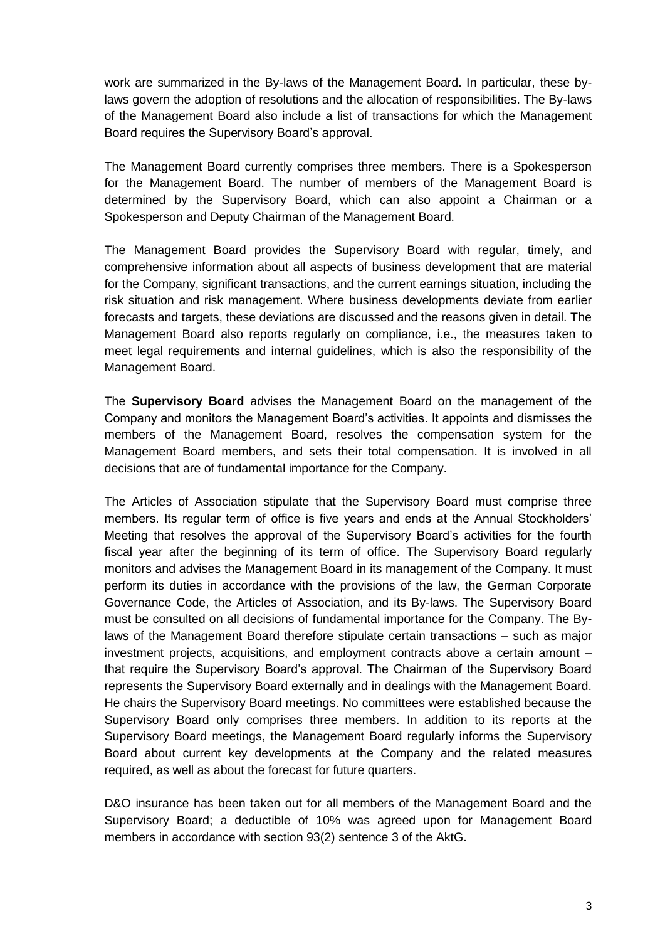work are summarized in the By-laws of the Management Board. In particular, these bylaws govern the adoption of resolutions and the allocation of responsibilities. The By-laws of the Management Board also include a list of transactions for which the Management Board requires the Supervisory Board's approval.

The Management Board currently comprises three members. There is a Spokesperson for the Management Board. The number of members of the Management Board is determined by the Supervisory Board, which can also appoint a Chairman or a Spokesperson and Deputy Chairman of the Management Board.

The Management Board provides the Supervisory Board with regular, timely, and comprehensive information about all aspects of business development that are material for the Company, significant transactions, and the current earnings situation, including the risk situation and risk management. Where business developments deviate from earlier forecasts and targets, these deviations are discussed and the reasons given in detail. The Management Board also reports regularly on compliance, i.e., the measures taken to meet legal requirements and internal guidelines, which is also the responsibility of the Management Board.

The **Supervisory Board** advises the Management Board on the management of the Company and monitors the Management Board's activities. It appoints and dismisses the members of the Management Board, resolves the compensation system for the Management Board members, and sets their total compensation. It is involved in all decisions that are of fundamental importance for the Company.

The Articles of Association stipulate that the Supervisory Board must comprise three members. Its regular term of office is five years and ends at the Annual Stockholders' Meeting that resolves the approval of the Supervisory Board's activities for the fourth fiscal year after the beginning of its term of office. The Supervisory Board regularly monitors and advises the Management Board in its management of the Company. It must perform its duties in accordance with the provisions of the law, the German Corporate Governance Code, the Articles of Association, and its By-laws. The Supervisory Board must be consulted on all decisions of fundamental importance for the Company. The Bylaws of the Management Board therefore stipulate certain transactions – such as major investment projects, acquisitions, and employment contracts above a certain amount – that require the Supervisory Board's approval. The Chairman of the Supervisory Board represents the Supervisory Board externally and in dealings with the Management Board. He chairs the Supervisory Board meetings. No committees were established because the Supervisory Board only comprises three members. In addition to its reports at the Supervisory Board meetings, the Management Board regularly informs the Supervisory Board about current key developments at the Company and the related measures required, as well as about the forecast for future quarters.

D&O insurance has been taken out for all members of the Management Board and the Supervisory Board; a deductible of 10% was agreed upon for Management Board members in accordance with section 93(2) sentence 3 of the AktG.